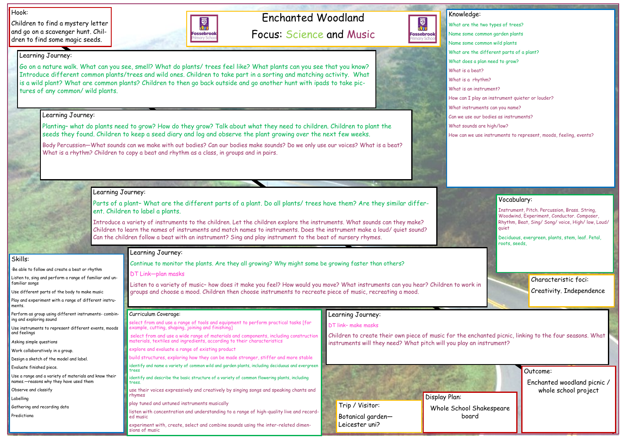# Enchanted Woodland

Focus: Science and Music

#### Hook:

Children to find a mystery letter and go on a scavenger hunt. Children to find some magic seeds.



Outcome:

Enchanted woodland picnic / whole school project

Knowledge: What are the two types of trees? Name some common garden plants Name some common wild plants What is a beat? What is a rhythm?

國  $\mathbf{r}$ 

**Fossebrook narv** 

- 
- 
- What are the different parts of a plant?
- What does a plan need to grow?
	-
	-
- What is an instrument?
- How can I play an instrument quieter or louder?
- What instruments can you name?
- Can we use our bodies as instruments?
- What sounds are high/low?
- How can we use instruments to represent, moods, feeling, events?

Skills:

·Be able to follow and create a beat or rhythm

Listen to, sing and perform a range of familiar and un-

familiar songs

Use different parts of the body to make music

Play and experiment with a range of different instru-

ments.

Perform as group using different instruments- combin-

ing and exploring sound

Body Percussion—What sounds can we make with out bodies? Can our bodies make sounds? Do we only use our voices? What is a beat? What is a rhythm? Children to copy a beat and rhythm as a class, in groups and in pairs.

Use instruments to represent different events, moods

and feelings

Asking simple questions

Work collaboratively in a group.

Design a sketch of the model and label.

Evaluate finished piece.

Use a range and a variety of materials and know their

names.—reasons why they have used them

Observe and classify

Labelling

Gathering and recording data

Predictiona

#### Learning Journey:

Go on a nature walk. What can you see, smell? What do plants/ trees feel like? What plants can you see that you know? Introduce different common plants/trees and wild ones. Children to take part in a sorting and matching activity. What is a wild plant? What are common plants? Children to then go back outside and go another hunt with ipads to take pictures of any common/ wild plants.

#### Learning Journey:

Planting– what do plants need to grow? How do they grow? Talk about what they need to children. Children to plant the seeds they found. Children to keep a seed diary and log and observe the plant growing over the next few weeks.

### Learning Journey:

Parts of a plant– What are the different parts of a plant. Do all plants/ trees have them? Are they similar different. Children to label a plants.

Introduce a variety of instruments to the children. Let the children explore the instruments. What sounds can they make? Children to learn the names of instruments and match names to instruments. Does the instrument make a loud/ quiet sound? Can the children follow a beat with an instrument? Sing and play instrument to the beat of nursery rhymes.

#### Learning Journey:

Continue to monitor the plants. Are they all growing? Why might some be growing faster than others?

#### DT Link—plan masks

Listen to a variety of music– how does it make you feel? How would you move? What instruments can you hear? Children to work in groups and choose a mood. Children then choose instruments to recreate piece of music, recreating a mood.

### Learning Journey:

#### DT link– make masks

Children to create their own piece of music for the enchanted picnic, linking to the four seasons. What instruments will they need? What pitch will you play an instrument?

#### Curriculum Coverage:

| select from and use a range of tools and equipment to perform practical tasks [for<br>example, cutting, shaping, joining and finishing]                         |
|-----------------------------------------------------------------------------------------------------------------------------------------------------------------|
| select from and use a wide range of materials and components, including construction<br>materials, textiles and ingredients, according to their characteristics |

explore and evaluate a range of existing product

build structures, exploring how they can be made stronger, stiffer and more stable

identify and name a variety of common wild and garden plants, including deciduous and evergreen trees

identify and describe the basic structure of a variety of common flowering plants, including trees.

use their voices expressively and creatively by singing songs and speaking chants and rhymes

play tuned and untuned instruments musically

listen with concentration and understanding to a range of high-quality live and recorded music

experiment with, create, select and combine sounds using the inter-related dimensions of music